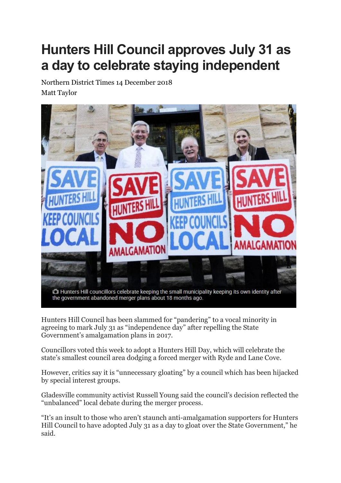## **Hunters Hill Council approves July 31 as a day to celebrate staying independent**

Northern District Times 14 December 2018 Matt Taylor



Hunters Hill Council has been slammed for "pandering" to a vocal minority in agreeing to mark July 31 as "independence day" after repelling the State Government's amalgamation plans in 2017.

Councillors voted this week to adopt a Hunters Hill Day, which will celebrate the state's smallest council area dodging a forced merger with Ryde and Lane Cove.

However, critics say it is "unnecessary gloating" by a council which has been hijacked by special interest groups.

Gladesville community activist Russell Young said the council's decision reflected the "unbalanced" local debate during the merger process.

"It's an insult to those who aren't staunch anti-amalgamation supporters for Hunters Hill Council to have adopted July 31 as a day to gloat over the State Government," he said.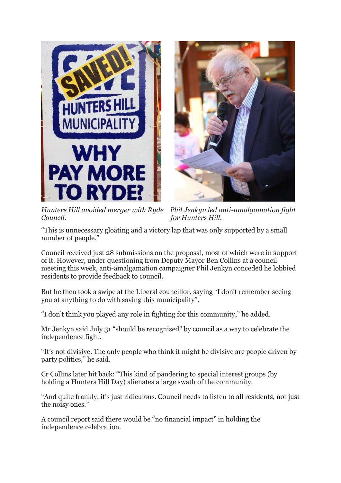



*Council. for Hunters Hill.*

*Hunters Hill avoided merger with Ryde Phil Jenkyn led anti-amalgamation fight*

"This is unnecessary gloating and a victory lap that was only supported by a small number of people."

Council received just 28 submissions on the proposal, most of which were in support of it. However, under questioning from Deputy Mayor Ben Collins at a council meeting this week, anti-amalgamation campaigner Phil Jenkyn conceded he lobbied residents to provide feedback to council.

But he then took a swipe at the Liberal councillor, saying "I don't remember seeing you at anything to do with saving this municipality".

"I don't think you played any role in fighting for this community," he added.

Mr Jenkyn said July 31 "should be recognised" by council as a way to celebrate the independence fight.

"It's not divisive. The only people who think it might be divisive are people driven by party politics," he said.

Cr Collins later hit back: "This kind of pandering to special interest groups (by holding a Hunters Hill Day) alienates a large swath of the community.

"And quite frankly, it's just ridiculous. Council needs to listen to all residents, not just the noisy ones."

A council report said there would be "no financial impact" in holding the independence celebration.